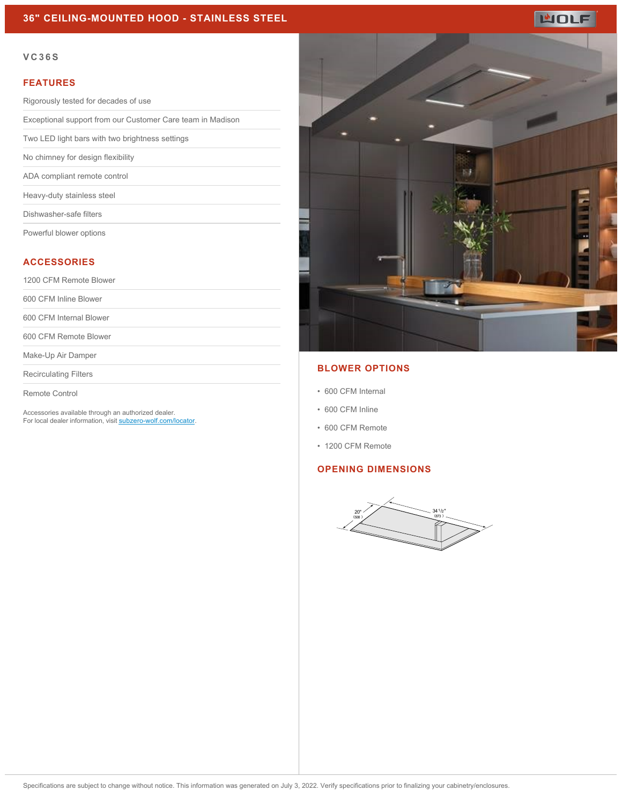## **36" CEILING-MOUNTED HOOD - STAINLESS STEEL**

#### **VC36S**

#### **FEATURES**

Rigorously tested for decades of use

Exceptional support from our Customer Care team in Madison

Two LED light bars with two brightness settings

No chimney for design flexibility

ADA compliant remote control

Heavy-duty stainless steel

Dishwasher-safe filters

Powerful blower options

## **ACCESSORIES**

1200 CFM Remote Blower

600 CFM Inline Blower

600 CFM Internal Blower

600 CFM Remote Blower

Make-Up Air Damper

Recirculating Filters

Remote Control

Accessories available through an authorized dealer. For local dealer information, visit [subzero-wolf.com/locator.](http://www.subzero-wolf.com/locator)



### **BLOWER OPTIONS**

- 600 CFM Internal
- 600 CFM Inline
- 600 CFM Remote
- 1200 CFM Remote

# **OPENING DIMENSIONS**